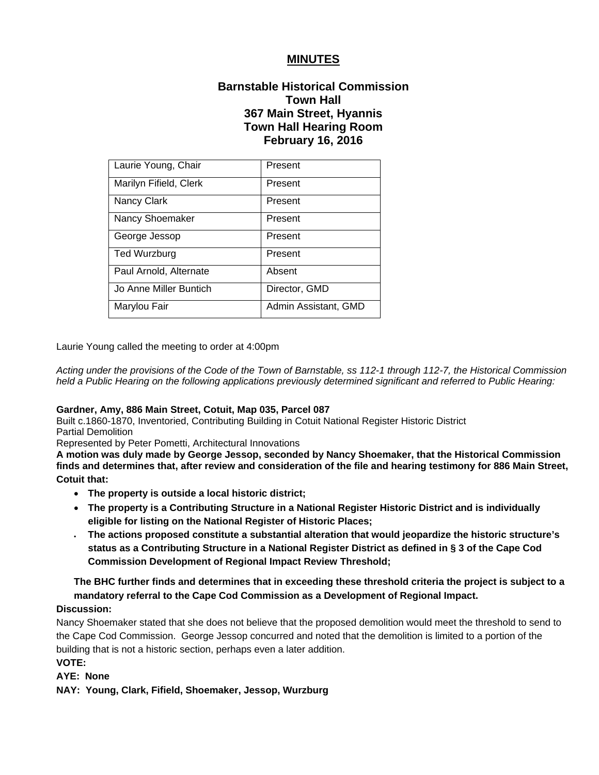# **MINUTES**

# **Barnstable Historical Commission Town Hall 367 Main Street, Hyannis Town Hall Hearing Room February 16, 2016**

| Laurie Young, Chair    | Present              |
|------------------------|----------------------|
| Marilyn Fifield, Clerk | Present              |
| Nancy Clark            | Present              |
| Nancy Shoemaker        | Present              |
| George Jessop          | Present              |
| <b>Ted Wurzburg</b>    | Present              |
| Paul Arnold, Alternate | Absent               |
| Jo Anne Miller Buntich | Director, GMD        |
| Marylou Fair           | Admin Assistant, GMD |

Laurie Young called the meeting to order at 4:00pm

*Acting under the provisions of the Code of the Town of Barnstable, ss 112-1 through 112-7, the Historical Commission held a Public Hearing on the following applications previously determined significant and referred to Public Hearing:*

#### **Gardner, Amy, 886 Main Street, Cotuit, Map 035, Parcel 087**

Built c.1860-1870, Inventoried, Contributing Building in Cotuit National Register Historic District Partial Demolition

Represented by Peter Pometti, Architectural Innovations

**A motion was duly made by George Jessop, seconded by Nancy Shoemaker, that the Historical Commission finds and determines that, after review and consideration of the file and hearing testimony for 886 Main Street, Cotuit that:** 

- **The property is outside a local historic district;**
- **The property is a Contributing Structure in a National Register Historic District and is individually eligible for listing on the National Register of Historic Places;**
- **The actions proposed constitute a substantial alteration that would jeopardize the historic structure's status as a Contributing Structure in a National Register District as defined in § 3 of the Cape Cod Commission Development of Regional Impact Review Threshold;**

# **The BHC further finds and determines that in exceeding these threshold criteria the project is subject to a mandatory referral to the Cape Cod Commission as a Development of Regional Impact.**

# **Discussion:**

Nancy Shoemaker stated that she does not believe that the proposed demolition would meet the threshold to send to the Cape Cod Commission. George Jessop concurred and noted that the demolition is limited to a portion of the building that is not a historic section, perhaps even a later addition.

# **VOTE:**

## **AYE: None**

**NAY: Young, Clark, Fifield, Shoemaker, Jessop, Wurzburg**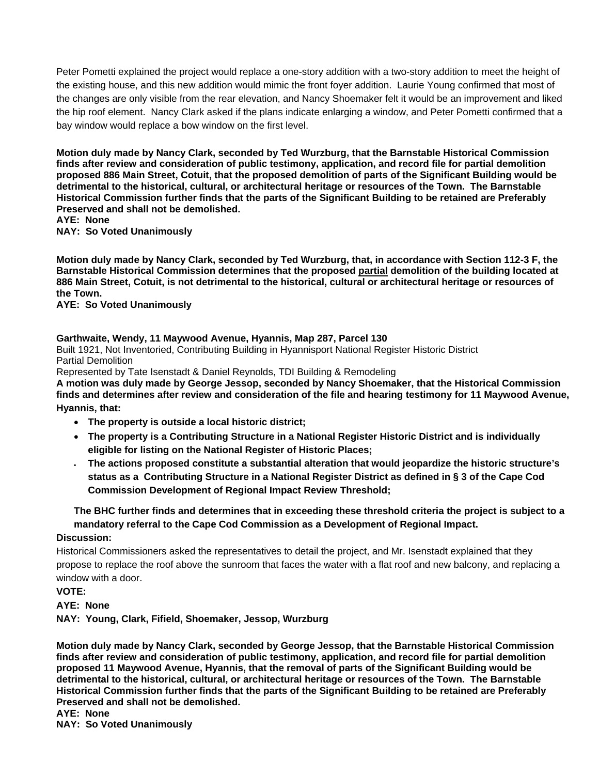Peter Pometti explained the project would replace a one-story addition with a two-story addition to meet the height of the existing house, and this new addition would mimic the front foyer addition. Laurie Young confirmed that most of the changes are only visible from the rear elevation, and Nancy Shoemaker felt it would be an improvement and liked the hip roof element. Nancy Clark asked if the plans indicate enlarging a window, and Peter Pometti confirmed that a bay window would replace a bow window on the first level.

**Motion duly made by Nancy Clark, seconded by Ted Wurzburg, that the Barnstable Historical Commission finds after review and consideration of public testimony, application, and record file for partial demolition proposed 886 Main Street, Cotuit, that the proposed demolition of parts of the Significant Building would be detrimental to the historical, cultural, or architectural heritage or resources of the Town. The Barnstable Historical Commission further finds that the parts of the Significant Building to be retained are Preferably Preserved and shall not be demolished.** 

#### **AYE: None**

**NAY: So Voted Unanimously**

**Motion duly made by Nancy Clark, seconded by Ted Wurzburg, that, in accordance with Section 112-3 F, the Barnstable Historical Commission determines that the proposed partial demolition of the building located at 886 Main Street, Cotuit, is not detrimental to the historical, cultural or architectural heritage or resources of the Town.** 

**AYE: So Voted Unanimously** 

## **Garthwaite, Wendy, 11 Maywood Avenue, Hyannis, Map 287, Parcel 130**

Built 1921, Not Inventoried, Contributing Building in Hyannisport National Register Historic District Partial Demolition

Represented by Tate Isenstadt & Daniel Reynolds, TDI Building & Remodeling

**A motion was duly made by George Jessop, seconded by Nancy Shoemaker, that the Historical Commission finds and determines after review and consideration of the file and hearing testimony for 11 Maywood Avenue,** 

**Hyannis, that:** 

- **The property is outside a local historic district;**
- **The property is a Contributing Structure in a National Register Historic District and is individually eligible for listing on the National Register of Historic Places;**
- **The actions proposed constitute a substantial alteration that would jeopardize the historic structure's status as a Contributing Structure in a National Register District as defined in § 3 of the Cape Cod Commission Development of Regional Impact Review Threshold;**

# **The BHC further finds and determines that in exceeding these threshold criteria the project is subject to a mandatory referral to the Cape Cod Commission as a Development of Regional Impact.**

#### **Discussion:**

Historical Commissioners asked the representatives to detail the project, and Mr. Isenstadt explained that they propose to replace the roof above the sunroom that faces the water with a flat roof and new balcony, and replacing a window with a door.

### **VOTE:**

**AYE: None** 

**NAY: Young, Clark, Fifield, Shoemaker, Jessop, Wurzburg**

**Motion duly made by Nancy Clark, seconded by George Jessop, that the Barnstable Historical Commission finds after review and consideration of public testimony, application, and record file for partial demolition proposed 11 Maywood Avenue, Hyannis, that the removal of parts of the Significant Building would be detrimental to the historical, cultural, or architectural heritage or resources of the Town. The Barnstable Historical Commission further finds that the parts of the Significant Building to be retained are Preferably Preserved and shall not be demolished.** 

**AYE: None** 

**NAY: So Voted Unanimously**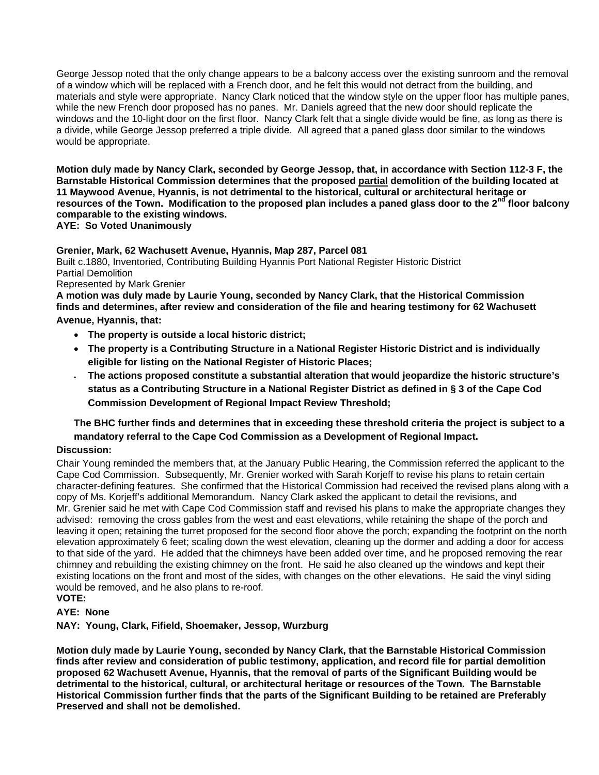George Jessop noted that the only change appears to be a balcony access over the existing sunroom and the removal of a window which will be replaced with a French door, and he felt this would not detract from the building, and materials and style were appropriate. Nancy Clark noticed that the window style on the upper floor has multiple panes, while the new French door proposed has no panes. Mr. Daniels agreed that the new door should replicate the windows and the 10-light door on the first floor. Nancy Clark felt that a single divide would be fine, as long as there is a divide, while George Jessop preferred a triple divide. All agreed that a paned glass door similar to the windows would be appropriate.

**Motion duly made by Nancy Clark, seconded by George Jessop, that, in accordance with Section 112-3 F, the Barnstable Historical Commission determines that the proposed partial demolition of the building located at 11 Maywood Avenue, Hyannis, is not detrimental to the historical, cultural or architectural heritage or**  resources of the Town. Modification to the proposed plan includes a paned glass door to the 2<sup>nd</sup> floor balcony **comparable to the existing windows.** 

**AYE: So Voted Unanimously**

## **Grenier, Mark, 62 Wachusett Avenue, Hyannis, Map 287, Parcel 081**

Built c.1880, Inventoried, Contributing Building Hyannis Port National Register Historic District Partial Demolition Represented by Mark Grenier

**A motion was duly made by Laurie Young, seconded by Nancy Clark, that the Historical Commission finds and determines, after review and consideration of the file and hearing testimony for 62 Wachusett Avenue, Hyannis, that:** 

- **The property is outside a local historic district;**
- **The property is a Contributing Structure in a National Register Historic District and is individually eligible for listing on the National Register of Historic Places;**
- **The actions proposed constitute a substantial alteration that would jeopardize the historic structure's status as a Contributing Structure in a National Register District as defined in § 3 of the Cape Cod Commission Development of Regional Impact Review Threshold;**

# **The BHC further finds and determines that in exceeding these threshold criteria the project is subject to a mandatory referral to the Cape Cod Commission as a Development of Regional Impact.**

## **Discussion:**

Chair Young reminded the members that, at the January Public Hearing, the Commission referred the applicant to the Cape Cod Commission. Subsequently, Mr. Grenier worked with Sarah Korjeff to revise his plans to retain certain character-defining features. She confirmed that the Historical Commission had received the revised plans along with a copy of Ms. Korjeff's additional Memorandum. Nancy Clark asked the applicant to detail the revisions, and Mr. Grenier said he met with Cape Cod Commission staff and revised his plans to make the appropriate changes they advised: removing the cross gables from the west and east elevations, while retaining the shape of the porch and leaving it open; retaining the turret proposed for the second floor above the porch; expanding the footprint on the north elevation approximately 6 feet; scaling down the west elevation, cleaning up the dormer and adding a door for access to that side of the yard. He added that the chimneys have been added over time, and he proposed removing the rear chimney and rebuilding the existing chimney on the front. He said he also cleaned up the windows and kept their existing locations on the front and most of the sides, with changes on the other elevations. He said the vinyl siding would be removed, and he also plans to re-roof. **VOTE:** 

# **AYE: None**

**NAY: Young, Clark, Fifield, Shoemaker, Jessop, Wurzburg**

**Motion duly made by Laurie Young, seconded by Nancy Clark, that the Barnstable Historical Commission finds after review and consideration of public testimony, application, and record file for partial demolition proposed 62 Wachusett Avenue, Hyannis, that the removal of parts of the Significant Building would be detrimental to the historical, cultural, or architectural heritage or resources of the Town. The Barnstable Historical Commission further finds that the parts of the Significant Building to be retained are Preferably Preserved and shall not be demolished.**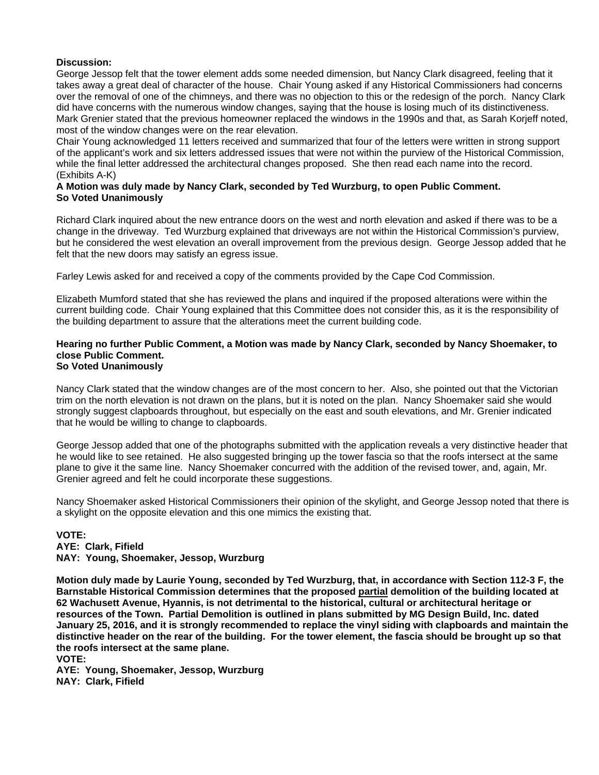## **Discussion:**

George Jessop felt that the tower element adds some needed dimension, but Nancy Clark disagreed, feeling that it takes away a great deal of character of the house. Chair Young asked if any Historical Commissioners had concerns over the removal of one of the chimneys, and there was no objection to this or the redesign of the porch. Nancy Clark did have concerns with the numerous window changes, saying that the house is losing much of its distinctiveness. Mark Grenier stated that the previous homeowner replaced the windows in the 1990s and that, as Sarah Korjeff noted, most of the window changes were on the rear elevation.

Chair Young acknowledged 11 letters received and summarized that four of the letters were written in strong support of the applicant's work and six letters addressed issues that were not within the purview of the Historical Commission, while the final letter addressed the architectural changes proposed. She then read each name into the record. (Exhibits A-K)

### **A Motion was duly made by Nancy Clark, seconded by Ted Wurzburg, to open Public Comment. So Voted Unanimously**

Richard Clark inquired about the new entrance doors on the west and north elevation and asked if there was to be a change in the driveway. Ted Wurzburg explained that driveways are not within the Historical Commission's purview, but he considered the west elevation an overall improvement from the previous design. George Jessop added that he felt that the new doors may satisfy an egress issue.

Farley Lewis asked for and received a copy of the comments provided by the Cape Cod Commission.

Elizabeth Mumford stated that she has reviewed the plans and inquired if the proposed alterations were within the current building code. Chair Young explained that this Committee does not consider this, as it is the responsibility of the building department to assure that the alterations meet the current building code.

#### **Hearing no further Public Comment, a Motion was made by Nancy Clark, seconded by Nancy Shoemaker, to close Public Comment. So Voted Unanimously**

Nancy Clark stated that the window changes are of the most concern to her. Also, she pointed out that the Victorian trim on the north elevation is not drawn on the plans, but it is noted on the plan. Nancy Shoemaker said she would strongly suggest clapboards throughout, but especially on the east and south elevations, and Mr. Grenier indicated that he would be willing to change to clapboards.

George Jessop added that one of the photographs submitted with the application reveals a very distinctive header that he would like to see retained. He also suggested bringing up the tower fascia so that the roofs intersect at the same plane to give it the same line. Nancy Shoemaker concurred with the addition of the revised tower, and, again, Mr. Grenier agreed and felt he could incorporate these suggestions.

Nancy Shoemaker asked Historical Commissioners their opinion of the skylight, and George Jessop noted that there is a skylight on the opposite elevation and this one mimics the existing that.

**VOTE: AYE: Clark, Fifield NAY: Young, Shoemaker, Jessop, Wurzburg** 

**Motion duly made by Laurie Young, seconded by Ted Wurzburg, that, in accordance with Section 112-3 F, the Barnstable Historical Commission determines that the proposed partial demolition of the building located at 62 Wachusett Avenue, Hyannis, is not detrimental to the historical, cultural or architectural heritage or resources of the Town. Partial Demolition is outlined in plans submitted by MG Design Build, Inc. dated January 25, 2016, and it is strongly recommended to replace the vinyl siding with clapboards and maintain the distinctive header on the rear of the building. For the tower element, the fascia should be brought up so that the roofs intersect at the same plane.** 

```
VOTE:
```
**AYE: Young, Shoemaker, Jessop, Wurzburg NAY: Clark, Fifield**